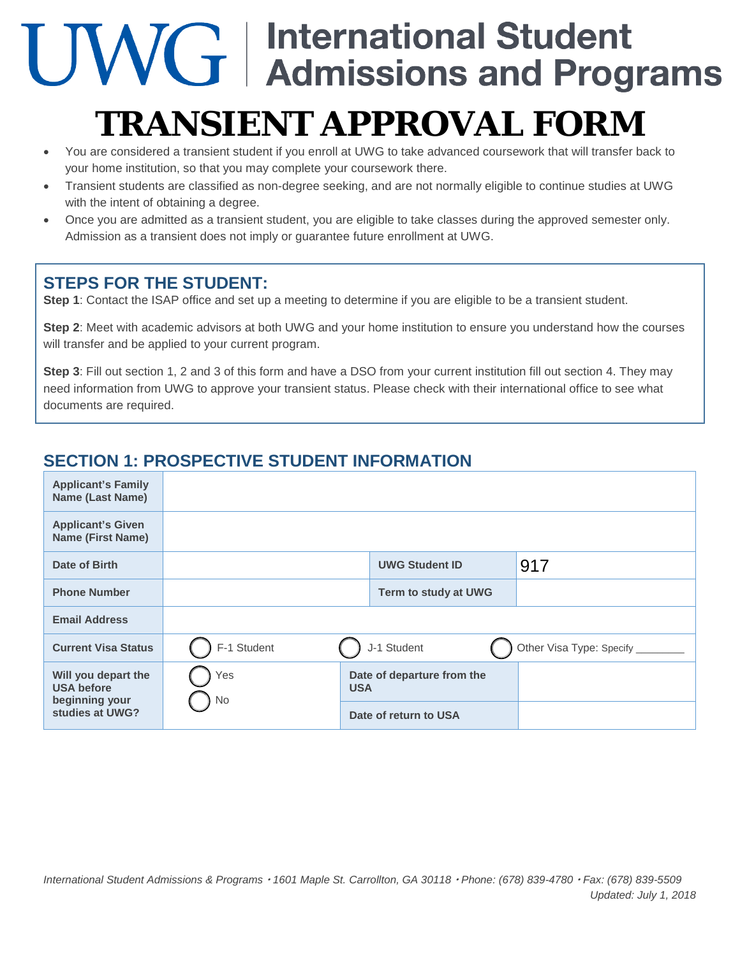# **JWG** | International Student<br>
MG | Admissions and Programs

### **TRANSIENT APPROVAL FORM**

- You are considered a transient student if you enroll at UWG to take advanced coursework that will transfer back to your home institution, so that you may complete your coursework there.
- Transient students are classified as non-degree seeking, and are not normally eligible to continue studies at UWG with the intent of obtaining a degree.
- Once you are admitted as a transient student, you are eligible to take classes during the approved semester only. Admission as a transient does not imply or guarantee future enrollment at UWG.

#### **STEPS FOR THE STUDENT:**

**Step 1**: Contact the ISAP office and set up a meeting to determine if you are eligible to be a transient student.

**Step 2**: Meet with academic advisors at both UWG and your home institution to ensure you understand how the courses will transfer and be applied to your current program.

**Step 3**: Fill out section 1, 2 and 3 of this form and have a DSO from your current institution fill out section 4. They may need information from UWG to approve your transient status. Please check with their international office to see what documents are required.

#### **SECTION 1: PROSPECTIVE STUDENT INFORMATION**

| <b>Applicant's Family</b><br><b>Name (Last Name)</b>                          |             |            |                            |                                |
|-------------------------------------------------------------------------------|-------------|------------|----------------------------|--------------------------------|
| <b>Applicant's Given</b><br><b>Name (First Name)</b>                          |             |            |                            |                                |
| Date of Birth                                                                 |             |            | <b>UWG Student ID</b>      | 917                            |
| <b>Phone Number</b>                                                           |             |            | Term to study at UWG       |                                |
| <b>Email Address</b>                                                          |             |            |                            |                                |
| <b>Current Visa Status</b>                                                    | F-1 Student |            | J-1 Student                | Other Visa Type: Specify _____ |
| Will you depart the<br><b>USA before</b><br>beginning your<br>studies at UWG? | Yes<br>No   | <b>USA</b> | Date of departure from the |                                |
|                                                                               |             |            | Date of return to USA      |                                |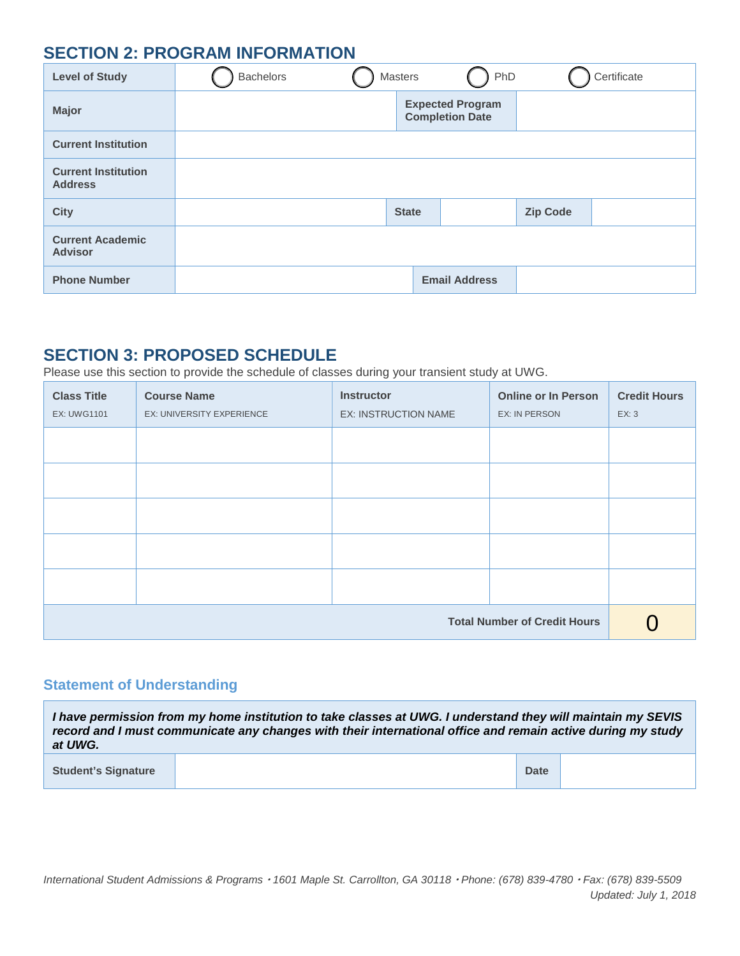#### **SECTION 2: PROGRAM INFORMATION**

| <b>Level of Study</b>                        | <b>Bachelors</b> | <b>Masters</b> | PhD                                               |                 | Certificate |
|----------------------------------------------|------------------|----------------|---------------------------------------------------|-----------------|-------------|
| <b>Major</b>                                 |                  |                | <b>Expected Program</b><br><b>Completion Date</b> |                 |             |
| <b>Current Institution</b>                   |                  |                |                                                   |                 |             |
| <b>Current Institution</b><br><b>Address</b> |                  |                |                                                   |                 |             |
| <b>City</b>                                  |                  | <b>State</b>   |                                                   | <b>Zip Code</b> |             |
| <b>Current Academic</b><br><b>Advisor</b>    |                  |                |                                                   |                 |             |
| <b>Phone Number</b>                          |                  |                | <b>Email Address</b>                              |                 |             |

#### **SECTION 3: PROPOSED SCHEDULE**

Please use this section to provide the schedule of classes during your transient study at UWG.

| <b>Class Title</b><br><b>EX: UWG1101</b> | <b>Course Name</b><br>EX: UNIVERSITY EXPERIENCE | <b>Instructor</b><br>EX: INSTRUCTION NAME | <b>Online or In Person</b><br>EX: IN PERSON | <b>Credit Hours</b><br>EX: 3 |
|------------------------------------------|-------------------------------------------------|-------------------------------------------|---------------------------------------------|------------------------------|
|                                          |                                                 |                                           |                                             |                              |
|                                          |                                                 |                                           |                                             |                              |
|                                          |                                                 |                                           |                                             |                              |
|                                          |                                                 |                                           |                                             |                              |
|                                          |                                                 |                                           |                                             |                              |
| <b>Total Number of Credit Hours</b>      |                                                 |                                           |                                             |                              |

#### **Statement of Understanding**

*I have permission from my home institution to take classes at UWG. I understand they will maintain my SEVIS record and I must communicate any changes with their international office and remain active during my study at UWG.* 

**Student's Signature Date** Date Date of the United Student's Signature Date of the Date of the Date of the Date of the Date of the Date of the Date of the Date of the Date of the Date of the Date of the Date of the Date of